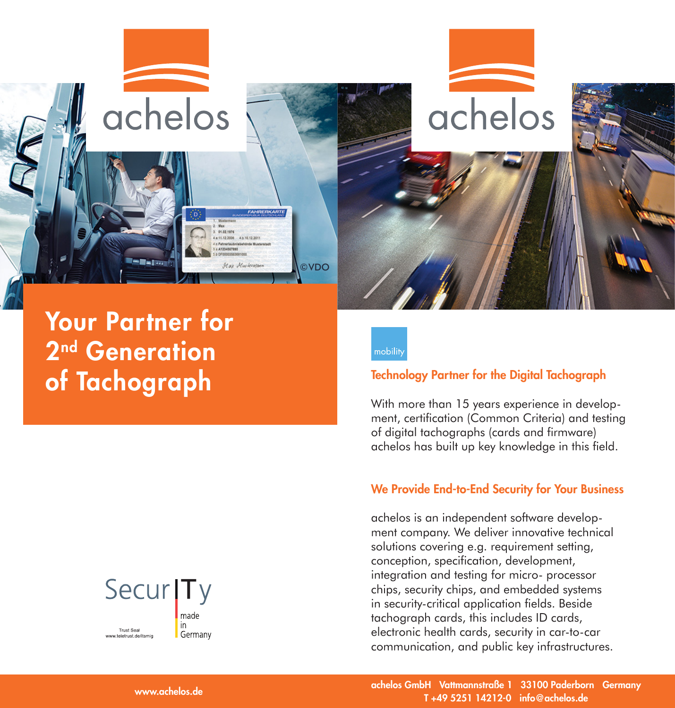



Your Partner for 2<sup>nd</sup> Generation of Tachograph



### Technology Partner for the Digital Tachograph

With more than 15 years experience in development, certification (Common Criteria) and testing of digital tachographs (cards and firmware) achelos has built up key knowledge in this field.

#### We Provide End-to-End Security for Your Business

achelos is an independent software development company. We deliver innovative technical solutions covering e.g. requirement setting, conception, specification, development, integration and testing for micro- processor chips, security chips, and embedded systems in security-critical application fields. Beside tachograph cards, this includes ID cards, electronic health cards, security in car-to-car communication, and public key infrastructures.



achelos GmbH Vattmannstraße 1 33100 Paderborn Germany T +49 5251 14212-0 info@achelos.de

www.achelos.de